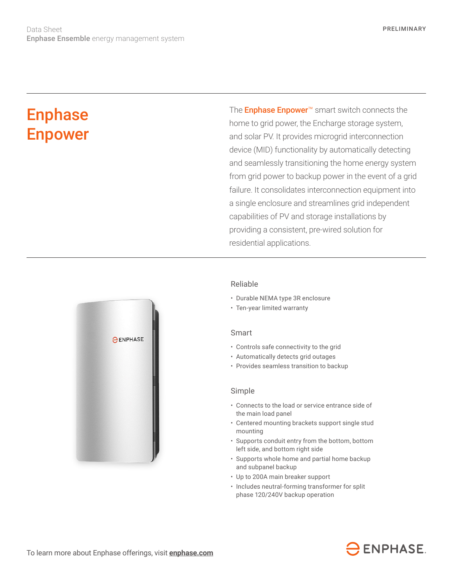# **Enphase** Enpower

The **Enphase Enpower**<sup>™</sup> smart switch connects the home to grid power, the Encharge storage system, and solar PV. It provides microgrid interconnection device (MID) functionality by automatically detecting and seamlessly transitioning the home energy system from grid power to backup power in the event of a grid failure. It consolidates interconnection equipment into a single enclosure and streamlines grid independent capabilities of PV and storage installations by providing a consistent, pre-wired solution for residential applications.



#### Reliable

- Durable NEMA type 3R enclosure
- Ten-year limited warranty

#### Smart

- Controls safe connectivity to the grid
- Automatically detects grid outages
- Provides seamless transition to backup

#### Simple

- Connects to the load or service entrance side of the main load panel
- Centered mounting brackets support single stud mounting
- Supports conduit entry from the bottom, bottom left side, and bottom right side
- Supports whole home and partial home backup and subpanel backup
- Up to 200A main breaker support
- Includes neutral-forming transformer for split phase 120/240V backup operation